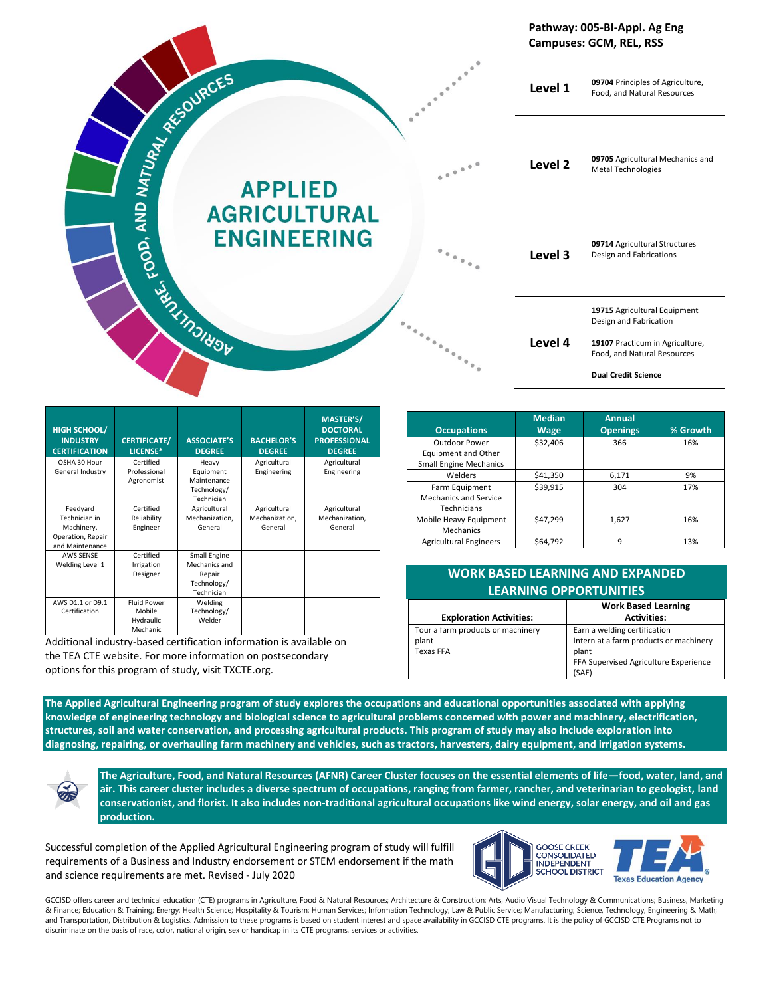

| <b>HIGH SCHOOL/</b><br><b>INDUSTRY</b><br><b>CERTIFICATION</b> | <b>CERTIFICATE/</b><br>LICENSE* | <b>ASSOCIATE'S</b><br><b>DEGREE</b> | <b>BACHELOR'S</b><br><b>DEGREE</b> | <b>MASTER'S/</b><br><b>DOCTORAL</b><br><b>PROFESSIONAL</b><br><b>DEGREE</b> |
|----------------------------------------------------------------|---------------------------------|-------------------------------------|------------------------------------|-----------------------------------------------------------------------------|
| OSHA 30 Hour                                                   | Certified                       | Heavy                               | Agricultural                       | Agricultural                                                                |
| General Industry                                               | Professional                    | Equipment                           | Engineering                        | Engineering                                                                 |
|                                                                | Agronomist                      | Maintenance                         |                                    |                                                                             |
|                                                                |                                 | Technology/                         |                                    |                                                                             |
|                                                                |                                 | Technician                          |                                    |                                                                             |
| Feedyard                                                       | Certified                       | Agricultural                        | Agricultural                       | Agricultural                                                                |
| Technician in                                                  | Reliability                     | Mechanization,                      | Mechanization,                     | Mechanization,                                                              |
| Machinery,                                                     | Engineer                        | General                             | General                            | General                                                                     |
| Operation, Repair                                              |                                 |                                     |                                    |                                                                             |
| and Maintenance                                                |                                 |                                     |                                    |                                                                             |
| <b>AWS SENSE</b>                                               | Certified                       | Small Engine                        |                                    |                                                                             |
| Welding Level 1                                                | Irrigation                      | Mechanics and                       |                                    |                                                                             |
|                                                                | Designer                        | Repair                              |                                    |                                                                             |
|                                                                |                                 | Technology/                         |                                    |                                                                             |
|                                                                |                                 | Technician                          |                                    |                                                                             |
| AWS D1.1 or D9.1                                               | <b>Fluid Power</b>              | Welding                             |                                    |                                                                             |
| Certification                                                  | Mobile                          | Technology/                         |                                    |                                                                             |
|                                                                | Hydraulic                       | Welder                              |                                    |                                                                             |
|                                                                | <b>Mechanic</b>                 |                                     |                                    |                                                                             |

Additional industry-based certification information is available on the TEA CTE website. For more information on postsecondary options for this program of study, visit TXCTE.org.

| <b>Occupations</b>                                                                  | <b>Median</b><br><b>Wage</b> | <b>Annual</b><br><b>Openings</b> | % Growth |
|-------------------------------------------------------------------------------------|------------------------------|----------------------------------|----------|
| <b>Outdoor Power</b><br><b>Equipment and Other</b><br><b>Small Engine Mechanics</b> | \$32,406                     | 366                              | 16%      |
| Welders                                                                             | \$41,350                     | 6,171                            | 9%       |
| Farm Equipment<br>Mechanics and Service<br>Technicians                              | \$39.915                     | 304                              | 17%      |
| Mobile Heavy Equipment<br>Mechanics                                                 | \$47.299                     | 1,627                            | 16%      |
| <b>Agricultural Engineers</b>                                                       | \$64,792                     | 9                                | 13%      |

| <b>WORK BASED LEARNING AND EXPANDED</b> |
|-----------------------------------------|
| <b>LEARNING OPPORTUNITIES</b>           |

|                                   | <b>Work Based Learning</b>             |
|-----------------------------------|----------------------------------------|
| <b>Exploration Activities:</b>    | <b>Activities:</b>                     |
| Tour a farm products or machinery | Earn a welding certification           |
| plant                             | Intern at a farm products or machinery |
| Texas FFA                         | plant                                  |
|                                   | FFA Supervised Agriculture Experience  |
|                                   | (SAE)                                  |

**The Applied Agricultural Engineering program of study explores the occupations and educational opportunities associated with applying knowledge of engineering technology and biological science to agricultural problems concerned with power and machinery, electrification, structures, soil and water conservation, and processing agricultural products. This program of study may also include exploration into diagnosing, repairing, or overhauling farm machinery and vehicles, such as tractors, harvesters, dairy equipment, and irrigation systems.**



**The Agriculture, Food, and Natural Resources (AFNR) Career Cluster focuses on the essential elements of life—food, water, land, and air. This career cluster includes a diverse spectrum of occupations, ranging from farmer, rancher, and veterinarian to geologist, land conservationist, and florist. It also includes non-traditional agricultural occupations like wind energy, solar energy, and oil and gas production.**

Successful completion of the Applied Agricultural Engineering program of study will fulfill requirements of a Business and Industry endorsement or STEM endorsement if the math and science requirements are met. Revised - July 2020



GCCISD offers career and technical education (CTE) programs in Agriculture, Food & Natural Resources; Architecture & Construction; Arts, Audio Visual Technology & Communications; Business, Marketing & Finance; Education & Training; Energy; Health Science; Hospitality & Tourism; Human Services; Information Technology; Law & Public Service; Manufacturing; Science, Technology, Engineering & Math; and Transportation, Distribution & Logistics. Admission to these programs is based on student interest and space availability in GCCISD CTE programs. It is the policy of GCCISD CTE Programs not to discriminate on the basis of race, color, national origin, sex or handicap in its CTE programs, services or activities.